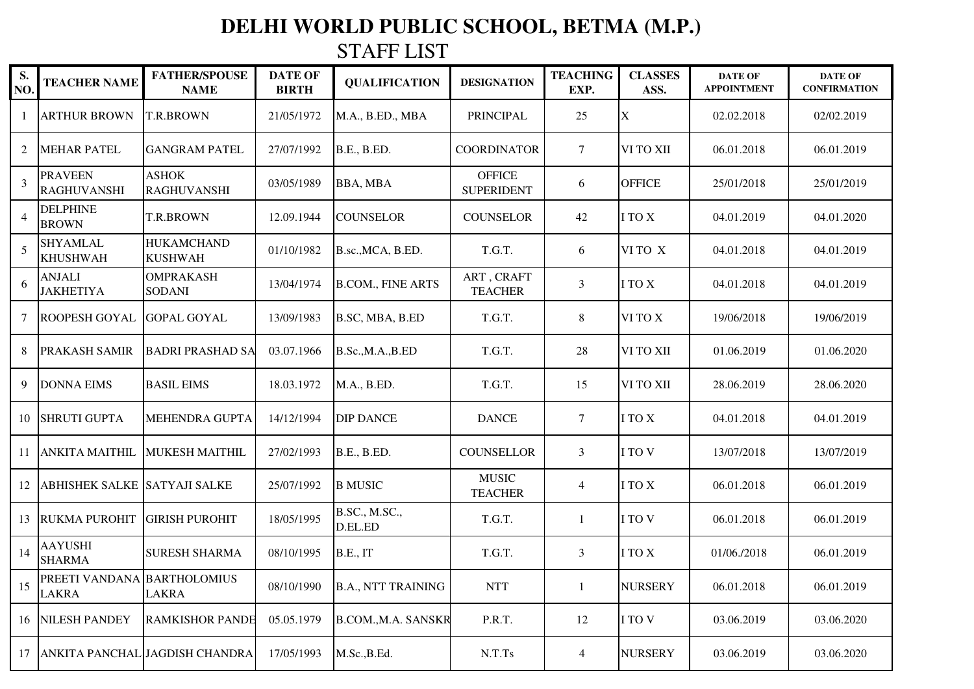## **DELHI WORLD PUBLIC SCHOOL, BETMA (M.P.)**

STAFF LIST

| S.<br>NO.      | <b>TEACHER NAME</b>                                | <b>FATHER/SPOUSE</b><br><b>NAME</b> | <b>DATE OF</b><br><b>BIRTH</b> | <b>QUALIFICATION</b>      | <b>DESIGNATION</b>                 | <b>TEACHING</b><br>EXP. | <b>CLASSES</b><br>ASS. | <b>DATE OF</b><br><b>APPOINTMENT</b> | <b>DATE OF</b><br><b>CONFIRMATION</b> |
|----------------|----------------------------------------------------|-------------------------------------|--------------------------------|---------------------------|------------------------------------|-------------------------|------------------------|--------------------------------------|---------------------------------------|
|                | <b>ARTHUR BROWN</b>                                | T.R.BROWN                           | 21/05/1972                     | M.A., B.ED., MBA          | PRINCIPAL                          | 25                      | X                      | 02.02.2018                           | 02/02.2019                            |
| 2              | <b>MEHAR PATEL</b>                                 | <b>GANGRAM PATEL</b>                | 27/07/1992                     | <b>B.E., B.ED.</b>        | <b>COORDINATOR</b>                 | 7                       | VI TO XII              | 06.01.2018                           | 06.01.2019                            |
| 3              | <b>PRAVEEN</b><br><b>RAGHUVANSHI</b>               | <b>ASHOK</b><br><b>RAGHUVANSHI</b>  | 03/05/1989                     | <b>BBA, MBA</b>           | <b>OFFICE</b><br><b>SUPERIDENT</b> | 6                       | <b>OFFICE</b>          | 25/01/2018                           | 25/01/2019                            |
| $\overline{4}$ | <b>DELPHINE</b><br><b>BROWN</b>                    | T.R.BROWN                           | 12.09.1944                     | <b>COUNSELOR</b>          | <b>COUNSELOR</b>                   | 42                      | I TO X                 | 04.01.2019                           | 04.01.2020                            |
| 5              | <b>SHYAMLAL</b><br><b>KHUSHWAH</b>                 | <b>HUKAMCHAND</b><br><b>KUSHWAH</b> | 01/10/1982                     | B.sc., MCA, B.ED.         | T.G.T.                             | 6                       | VI TO X                | 04.01.2018                           | 04.01.2019                            |
| 6              | <b>ANJALI</b><br><b>JAKHETIYA</b>                  | <b>OMPRAKASH</b><br><b>SODANI</b>   | 13/04/1974                     | <b>B.COM., FINE ARTS</b>  | ART, CRAFT<br><b>TEACHER</b>       | 3                       | I TO X                 | 04.01.2018                           | 04.01.2019                            |
| 7              | <b>ROOPESH GOYAL</b>                               | <b>GOPAL GOYAL</b>                  | 13/09/1983                     | B.SC, MBA, B.ED           | T.G.T.                             | 8                       | VI TO X                | 19/06/2018                           | 19/06/2019                            |
| 8              | <b>PRAKASH SAMIR</b>                               | <b>BADRI PRASHAD SA</b>             | 03.07.1966                     | B.Sc., M.A., B.ED         | T.G.T.                             | 28                      | VI TO XII              | 01.06.2019                           | 01.06.2020                            |
| 9              | <b>DONNA EIMS</b>                                  | <b>BASIL EIMS</b>                   | 18.03.1972                     | M.A., B.ED.               | T.G.T.                             | 15                      | VI TO XII              | 28.06.2019                           | 28.06.2020                            |
| 10             | <b>SHRUTI GUPTA</b>                                | <b>MEHENDRA GUPTA</b>               | 14/12/1994                     | <b>DIP DANCE</b>          | <b>DANCE</b>                       | $\tau$                  | I TO X                 | 04.01.2018                           | 04.01.2019                            |
| 11             | <b>ANKITA MAITHIL</b>                              | <b>MUKESH MAITHIL</b>               | 27/02/1993                     | <b>B.E., B.ED.</b>        | <b>COUNSELLOR</b>                  | 3                       | I TO V                 | 13/07/2018                           | 13/07/2019                            |
| 12             | <b>ABHISHEK SALKE SATYAJI SALKE</b>                |                                     | 25/07/1992                     | <b>B MUSIC</b>            | <b>MUSIC</b><br><b>TEACHER</b>     | $\overline{4}$          | I TO X                 | 06.01.2018                           | 06.01.2019                            |
| 13             | <b>RUKMA PUROHIT</b>                               | <b>GIRISH PUROHIT</b>               | 18/05/1995                     | B.SC., M.SC.,<br>D.EL.ED  | T.G.T.                             | -1                      | I TO V                 | 06.01.2018                           | 06.01.2019                            |
| 14             | <b>AAYUSHI</b><br><b>SHARMA</b>                    | <b>SURESH SHARMA</b>                | 08/10/1995                     | <b>B.E., IT</b>           | T.G.T.                             | 3                       | I TO X                 | 01/06./2018                          | 06.01.2019                            |
| 15             | <b>PREETI VANDANA BARTHOLOMIUS</b><br><b>LAKRA</b> | <b>LAKRA</b>                        | 08/10/1990                     | <b>B.A., NTT TRAINING</b> | $\operatorname{NTT}$               | $\mathbf{1}$            | NURSERY                | 06.01.2018                           | 06.01.2019                            |
|                | 16 NILESH PANDEY                                   | <b>RAMKISHOR PANDE</b>              | 05.05.1979                     | <b>B.COM.,M.A. SANSKR</b> | P.R.T.                             | 12                      | I TO V                 | 03.06.2019                           | 03.06.2020                            |
| 17             |                                                    | ANKITA PANCHAL JAGDISH CHANDRA      | 17/05/1993                     | M.Sc., B.Ed.              | N.T.Ts                             | $\overline{4}$          | <b>NURSERY</b>         | 03.06.2019                           | 03.06.2020                            |